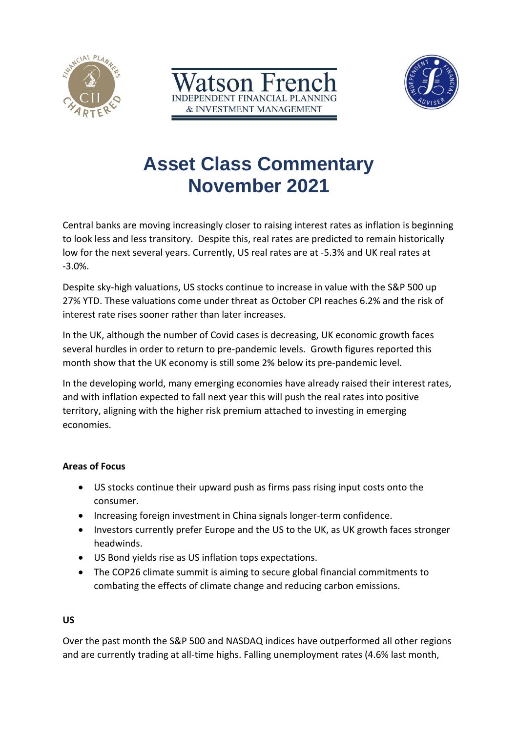





# **Asset Class Commentary November 2021**

Central banks are moving increasingly closer to raising interest rates as inflation is beginning to look less and less transitory. Despite this, real rates are predicted to remain historically low for the next several years. Currently, US real rates are at -5.3% and UK real rates at -3.0%.

Despite sky-high valuations, US stocks continue to increase in value with the S&P 500 up 27% YTD. These valuations come under threat as October CPI reaches 6.2% and the risk of interest rate rises sooner rather than later increases.

In the UK, although the number of Covid cases is decreasing, UK economic growth faces several hurdles in order to return to pre-pandemic levels. Growth figures reported this month show that the UK economy is still some 2% below its pre-pandemic level.

In the developing world, many emerging economies have already raised their interest rates, and with inflation expected to fall next year this will push the real rates into positive territory, aligning with the higher risk premium attached to investing in emerging economies.

# **Areas of Focus**

- US stocks continue their upward push as firms pass rising input costs onto the consumer.
- Increasing foreign investment in China signals longer-term confidence.
- Investors currently prefer Europe and the US to the UK, as UK growth faces stronger headwinds.
- US Bond yields rise as US inflation tops expectations.
- The COP26 climate summit is aiming to secure global financial commitments to combating the effects of climate change and reducing carbon emissions.

### **US**

Over the past month the S&P 500 and NASDAQ indices have outperformed all other regions and are currently trading at all-time highs. Falling unemployment rates (4.6% last month,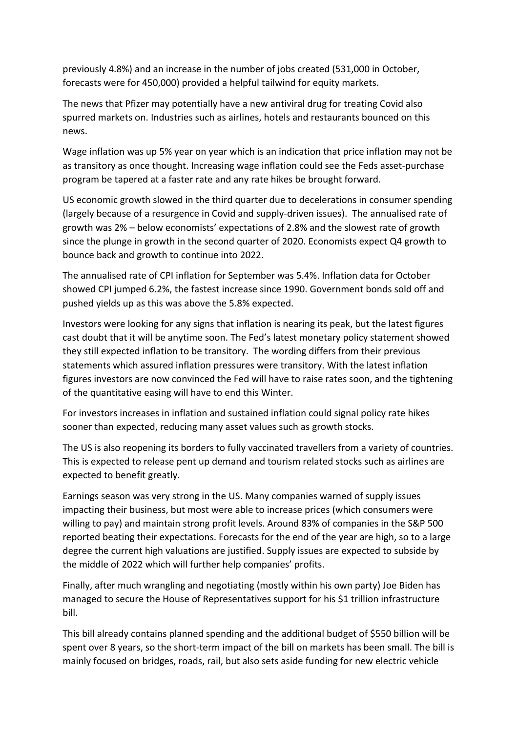previously 4.8%) and an increase in the number of jobs created (531,000 in October, forecasts were for 450,000) provided a helpful tailwind for equity markets.

The news that Pfizer may potentially have a new antiviral drug for treating Covid also spurred markets on. Industries such as airlines, hotels and restaurants bounced on this news.

Wage inflation was up 5% year on year which is an indication that price inflation may not be as transitory as once thought. Increasing wage inflation could see the Feds asset-purchase program be tapered at a faster rate and any rate hikes be brought forward.

US economic growth slowed in the third quarter due to decelerations in consumer spending (largely because of a resurgence in Covid and supply-driven issues). The annualised rate of growth was 2% – below economists' expectations of 2.8% and the slowest rate of growth since the plunge in growth in the second quarter of 2020. Economists expect Q4 growth to bounce back and growth to continue into 2022.

The annualised rate of CPI inflation for September was 5.4%. Inflation data for October showed CPI jumped 6.2%, the fastest increase since 1990. Government bonds sold off and pushed yields up as this was above the 5.8% expected.

Investors were looking for any signs that inflation is nearing its peak, but the latest figures cast doubt that it will be anytime soon. The Fed's latest monetary policy statement showed they still expected inflation to be transitory. The wording differs from their previous statements which assured inflation pressures were transitory. With the latest inflation figures investors are now convinced the Fed will have to raise rates soon, and the tightening of the quantitative easing will have to end this Winter.

For investors increases in inflation and sustained inflation could signal policy rate hikes sooner than expected, reducing many asset values such as growth stocks.

The US is also reopening its borders to fully vaccinated travellers from a variety of countries. This is expected to release pent up demand and tourism related stocks such as airlines are expected to benefit greatly.

Earnings season was very strong in the US. Many companies warned of supply issues impacting their business, but most were able to increase prices (which consumers were willing to pay) and maintain strong profit levels. Around 83% of companies in the S&P 500 reported beating their expectations. Forecasts for the end of the year are high, so to a large degree the current high valuations are justified. Supply issues are expected to subside by the middle of 2022 which will further help companies' profits.

Finally, after much wrangling and negotiating (mostly within his own party) Joe Biden has managed to secure the House of Representatives support for his \$1 trillion infrastructure bill.

This bill already contains planned spending and the additional budget of \$550 billion will be spent over 8 years, so the short-term impact of the bill on markets has been small. The bill is mainly focused on bridges, roads, rail, but also sets aside funding for new electric vehicle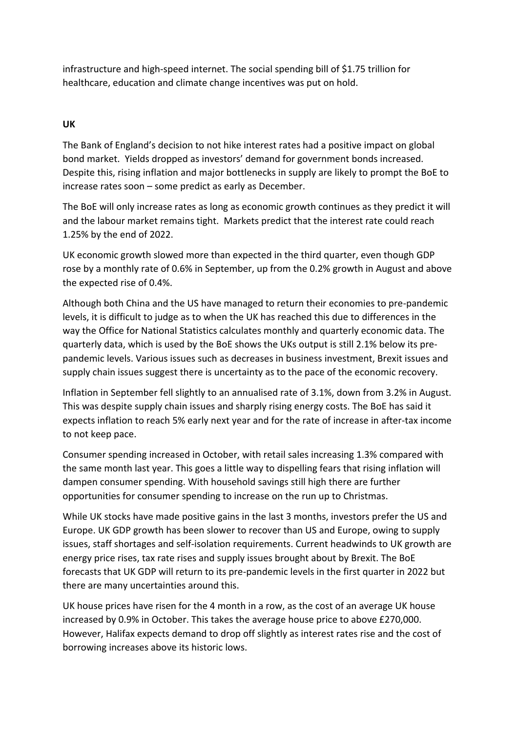infrastructure and high-speed internet. The social spending bill of \$1.75 trillion for healthcare, education and climate change incentives was put on hold.

## **UK**

The Bank of England's decision to not hike interest rates had a positive impact on global bond market. Yields dropped as investors' demand for government bonds increased. Despite this, rising inflation and major bottlenecks in supply are likely to prompt the BoE to increase rates soon – some predict as early as December.

The BoE will only increase rates as long as economic growth continues as they predict it will and the labour market remains tight. Markets predict that the interest rate could reach 1.25% by the end of 2022.

UK economic growth slowed more than expected in the third quarter, even though GDP rose by a monthly rate of 0.6% in September, up from the 0.2% growth in August and above the expected rise of 0.4%.

Although both China and the US have managed to return their economies to pre-pandemic levels, it is difficult to judge as to when the UK has reached this due to differences in the way the Office for National Statistics calculates monthly and quarterly economic data. The quarterly data, which is used by the BoE shows the UKs output is still 2.1% below its prepandemic levels. Various issues such as decreases in business investment, Brexit issues and supply chain issues suggest there is uncertainty as to the pace of the economic recovery.

Inflation in September fell slightly to an annualised rate of 3.1%, down from 3.2% in August. This was despite supply chain issues and sharply rising energy costs. The BoE has said it expects inflation to reach 5% early next year and for the rate of increase in after-tax income to not keep pace.

Consumer spending increased in October, with retail sales increasing 1.3% compared with the same month last year. This goes a little way to dispelling fears that rising inflation will dampen consumer spending. With household savings still high there are further opportunities for consumer spending to increase on the run up to Christmas.

While UK stocks have made positive gains in the last 3 months, investors prefer the US and Europe. UK GDP growth has been slower to recover than US and Europe, owing to supply issues, staff shortages and self-isolation requirements. Current headwinds to UK growth are energy price rises, tax rate rises and supply issues brought about by Brexit. The BoE forecasts that UK GDP will return to its pre-pandemic levels in the first quarter in 2022 but there are many uncertainties around this.

UK house prices have risen for the 4 month in a row, as the cost of an average UK house increased by 0.9% in October. This takes the average house price to above £270,000. However, Halifax expects demand to drop off slightly as interest rates rise and the cost of borrowing increases above its historic lows.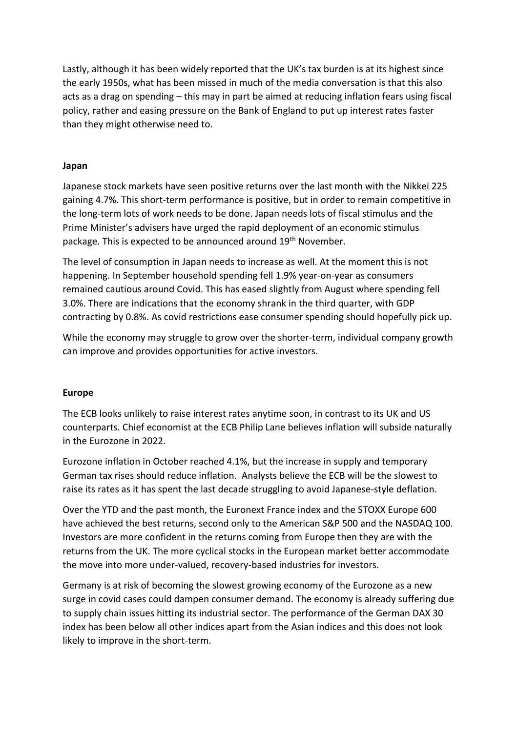Lastly, although it has been widely reported that the UK's tax burden is at its highest since the early 1950s, what has been missed in much of the media conversation is that this also acts as a drag on spending – this may in part be aimed at reducing inflation fears using fiscal policy, rather and easing pressure on the Bank of England to put up interest rates faster than they might otherwise need to.

#### **Japan**

Japanese stock markets have seen positive returns over the last month with the Nikkei 225 gaining 4.7%. This short-term performance is positive, but in order to remain competitive in the long-term lots of work needs to be done. Japan needs lots of fiscal stimulus and the Prime Minister's advisers have urged the rapid deployment of an economic stimulus package. This is expected to be announced around 19th November.

The level of consumption in Japan needs to increase as well. At the moment this is not happening. In September household spending fell 1.9% year-on-year as consumers remained cautious around Covid. This has eased slightly from August where spending fell 3.0%. There are indications that the economy shrank in the third quarter, with GDP contracting by 0.8%. As covid restrictions ease consumer spending should hopefully pick up.

While the economy may struggle to grow over the shorter-term, individual company growth can improve and provides opportunities for active investors.

#### **Europe**

The ECB looks unlikely to raise interest rates anytime soon, in contrast to its UK and US counterparts. Chief economist at the ECB Philip Lane believes inflation will subside naturally in the Eurozone in 2022.

Eurozone inflation in October reached 4.1%, but the increase in supply and temporary German tax rises should reduce inflation. Analysts believe the ECB will be the slowest to raise its rates as it has spent the last decade struggling to avoid Japanese-style deflation.

Over the YTD and the past month, the Euronext France index and the STOXX Europe 600 have achieved the best returns, second only to the American S&P 500 and the NASDAQ 100. Investors are more confident in the returns coming from Europe then they are with the returns from the UK. The more cyclical stocks in the European market better accommodate the move into more under-valued, recovery-based industries for investors.

Germany is at risk of becoming the slowest growing economy of the Eurozone as a new surge in covid cases could dampen consumer demand. The economy is already suffering due to supply chain issues hitting its industrial sector. The performance of the German DAX 30 index has been below all other indices apart from the Asian indices and this does not look likely to improve in the short-term.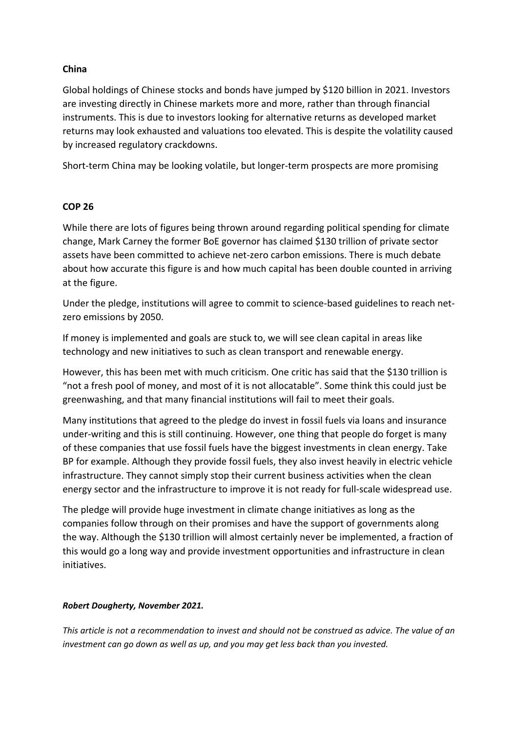## **China**

Global holdings of Chinese stocks and bonds have jumped by \$120 billion in 2021. Investors are investing directly in Chinese markets more and more, rather than through financial instruments. This is due to investors looking for alternative returns as developed market returns may look exhausted and valuations too elevated. This is despite the volatility caused by increased regulatory crackdowns.

Short-term China may be looking volatile, but longer-term prospects are more promising

### **COP 26**

While there are lots of figures being thrown around regarding political spending for climate change, Mark Carney the former BoE governor has claimed \$130 trillion of private sector assets have been committed to achieve net-zero carbon emissions. There is much debate about how accurate this figure is and how much capital has been double counted in arriving at the figure.

Under the pledge, institutions will agree to commit to science-based guidelines to reach netzero emissions by 2050.

If money is implemented and goals are stuck to, we will see clean capital in areas like technology and new initiatives to such as clean transport and renewable energy.

However, this has been met with much criticism. One critic has said that the \$130 trillion is "not a fresh pool of money, and most of it is not allocatable". Some think this could just be greenwashing, and that many financial institutions will fail to meet their goals.

Many institutions that agreed to the pledge do invest in fossil fuels via loans and insurance under-writing and this is still continuing. However, one thing that people do forget is many of these companies that use fossil fuels have the biggest investments in clean energy. Take BP for example. Although they provide fossil fuels, they also invest heavily in electric vehicle infrastructure. They cannot simply stop their current business activities when the clean energy sector and the infrastructure to improve it is not ready for full-scale widespread use.

The pledge will provide huge investment in climate change initiatives as long as the companies follow through on their promises and have the support of governments along the way. Although the \$130 trillion will almost certainly never be implemented, a fraction of this would go a long way and provide investment opportunities and infrastructure in clean initiatives.

#### *Robert Dougherty, November 2021.*

*This article is not a recommendation to invest and should not be construed as advice. The value of an investment can go down as well as up, and you may get less back than you invested.*